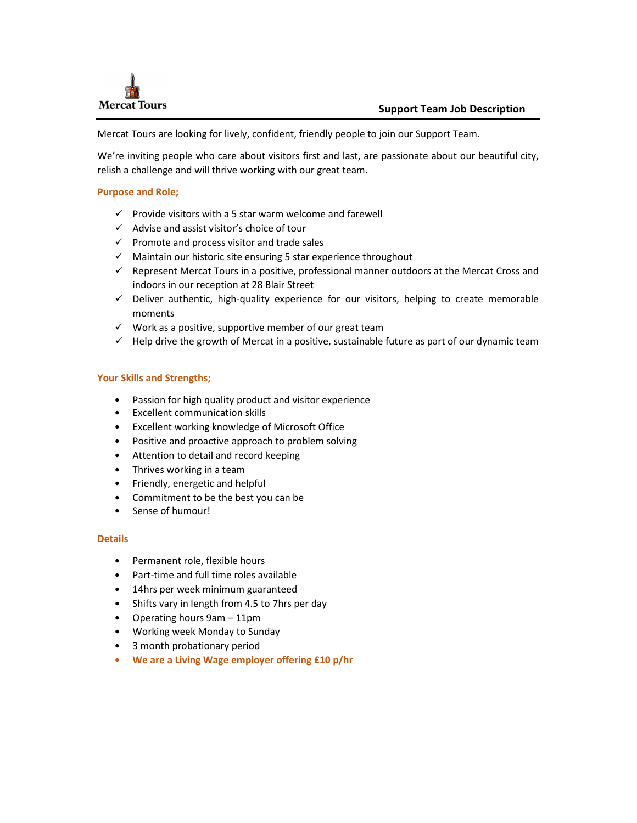

Mercat Tours are looking for lively, confident, friendly people to join our Support Team.

We're inviting people who care about visitors first and last, are passionate about our beautiful city, relish a challenge and will thrive working with our great team.

## Purpose and Role;

- $\checkmark$  Provide visitors with a 5 star warm welcome and farewell
- $\checkmark$  Advise and assist visitor's choice of tour
- $\checkmark$  Promote and process visitor and trade sales
- $\checkmark$  Maintain our historic site ensuring 5 star experience throughout
- $\checkmark$  Represent Mercat Tours in a positive, professional manner outdoors at the Mercat Cross and indoors in our reception at 28 Blair Street
- $\checkmark$  Deliver authentic, high-quality experience for our visitors, helping to create memorable moments
- $\checkmark$  Work as a positive, supportive member of our great team
- $\checkmark$  Help drive the growth of Mercat in a positive, sustainable future as part of our dynamic team

### Your Skills and Strengths;

- Passion for high quality product and visitor experience
- Excellent communication skills
- Excellent working knowledge of Microsoft Office
- Positive and proactive approach to problem solving
- Attention to detail and record keeping
- Thrives working in a team
- Friendly, energetic and helpful
- Commitment to be the best you can be
- Sense of humour!

#### **Details**

- Permanent role, flexible hours
- Part-time and full time roles available
- 14hrs per week minimum guaranteed
- Shifts vary in length from 4.5 to 7hrs per day
- Operating hours 9am 11pm
- Working week Monday to Sunday
- 3 month probationary period
- We are a Living Wage employer offering £10 p/hr